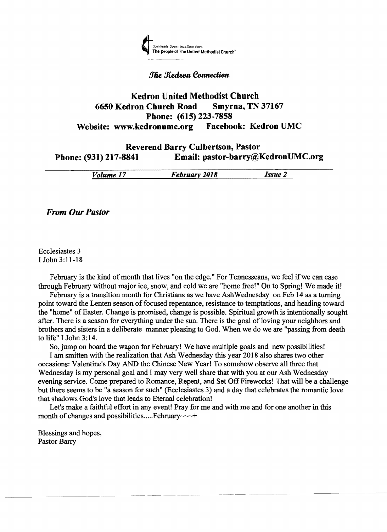

### **The Kedron Connection**

# Kedron United Methodist Church 6650 Kedron Church Road Smyrna, TN 37167 Phone: (615) 223-7858 Website: www.kedronumc.org Facebook: Kedron UMC

# Reverend Barry Culbertson, Pastor Phone: (931) 217-8841 Email: pastor-barry@KedronUMC.org

| ----------<br>--------------- |  |
|-------------------------------|--|
| <br>201X<br>---<br>,,,,<br>   |  |
|                               |  |

*From Our Pastor* 

Ecclesiastes 3 I John 3:11-18

February is the kind of month that lives "on the edge." For Tennesseans, we feel if we can ease through February without major ice, snow, and cold we are "home free!" On to Spring! We made it!

February is a transition month for Christians as we have AshWednesday on Feb 14 as a turning point toward the Lenten season of focused repentance, resistance to temptations, and heading toward the "home" of Easter. Change is promised, change is possible. Spiritual growth is intentionally sought after. There is a season for everything under the sun. There is the goal of loving your neighbors and brothers and sisters in a deliberate manner pleasing to God. When we do we are "passing from death to life" I John 3:14.

So, jump on board the wagon for February! We have multiple goals and new possibilities!

I am smitten with the realization that Ash Wednesday this year 2018 also shares two other occasions: Valentine's Day AND the Chinese New Year! To somehow observe all three that Wednesday is my personal goal and I may very well share that with you at our Ash Wednesday evening service. Come prepared to Romance, Repent, and Set Off Fireworks! That will be a challenge but there seems to be "a season for such" (Ecclesiastes 3) and a day that celebrates the romantic love that shadows God's love that leads to Eternal celebration!

Let's make a faithful effort in any event! Pray for me and with me and for one another in this month of changes and possibilities..... February~~~

Blessings and hopes, Pastor Barry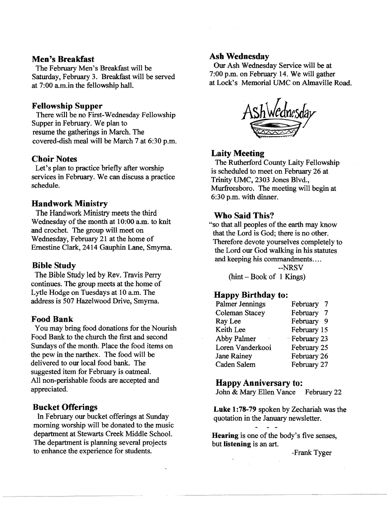#### Men's Breakfast

The February Men's Breakfast will be Saturday, February 3. Breakfast will be served at 7:00 a.m.in the fellowship hall.

#### Fellowship Supper

There will be no First-Wednesday Fellowship Supper in February. We plan to resume the gatherings in March. The covered-dish meal will be March 7 at 6:30 p.m.

#### Choir Notes

Let's plan to practice briefly after worship services in February. We can discuss a practice schedule.

#### Handwork Ministry

The Handwork Ministry meets the third Wednesday of the month at 10:00 a.m. to knit and crochet. The group will meet on Wednesday, February 21 at the home of Ernestine Clark, 2414 Gauphin Lane, Smyrna.

#### Bible Study

The Bible Study led by Rev. Travis Perry continues. The group meets at the home of Lytle Hodge on Tuesdays at 10 a.m. The address is 507 Hazelwood Drive, Smyrna.

#### Food Bank

You may bring food donations for the Nourish Food Bank to the church the first and second Sundays of the month. Place the food items on the pew in the narthex. The food will be delivered to om local food bank. The suggested item for February is oatmeal. All non-perishable foods are accepted and appreciated.

#### Bucket Offerings

In February om bucket offerings at Sunday morning worship will be donated to the music department at Stewarts Creek Middle SchooL The department is planning several projects to enhance the experience for students.

#### Ash Wednesday

Om Ash Wednesday Service will be at 7:00 p.m. on February 14. We will gather at Lock's Memorial UMC on Almaville Road.



#### Laity Meeting

The Rutherford County Laity Fellowship is scheduled to meet on February 26 at Trinity UMC, 2303 Jones Blvd., Murfreesboro. The meeting will begin at 6:30 p.m. with dinner.

### Who Said This?

"so that all peoples of the earth may know that the Lord is God; there is no other. Therefore devote yourselves completely to the Lord om God walking in his statutes and keeping his commandments....

--NRSV

 $(hint - Book of 1 Kings)$ 

#### Happy Birthday to:

| Palmer Jennings       | February                   |
|-----------------------|----------------------------|
| <b>Coleman Stacey</b> | February<br>$\overline{7}$ |
| Ray Lee               | February 9                 |
| Keith Lee             | February 15                |
| Abby Palmer           | -February 23               |
| Loren Vanderkooi      | February 25                |
| <b>Jane Rainey</b>    | February 26                |
| Caden Salem           | February 27                |

#### Happy Anniversary to:

John & Mary Ellen Vance February 22

Luke 1:78-79 spoken by Zechariah was the quotation in the January newsletter.

Hearing is one of the body's five senses, but listening is an art.

-Frank Tyger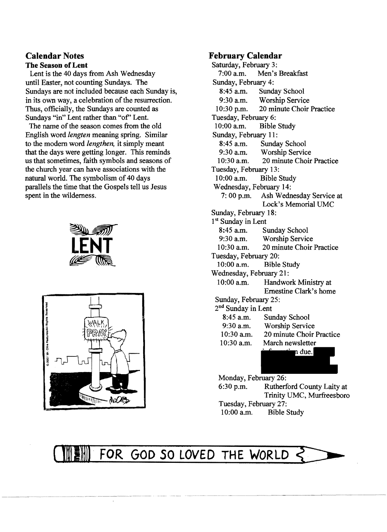## **Calendar Notes The Season ofLent**

Lent is the 40 days from Ash Wednesday until Easter, not counting Sundays. The Sundays are not included because each Sunday is, in its own way, a celebration of the resurrection. Thus, officially, the Sundays are counted as Sundays "in" Lent rather than "of" Lent.

The name of the season comes from the old English word *lengten* meaning spring. Similar to the modem word *lengthen,* it simply meant that the days were getting longer. This reminds us that sometimes, faith symbols and seasons of the church year can have associations with the natural world. The symbolism of 40 days parallels the time that the Gospels tell us Jesus spent in the wilderness.





# **February Calendar**

Saturday, February 3:<br>7:00 a.m. Men's Men's Breakfast Sunday, February 4: 8:45 a.m. Sunday School<br>9:30 a m Worshin Servic 9:30 a.m. Worship Service<br>10:30 p.m. 20 minute Choir 20 minute Choir Practice Tuesday, February 6:<br>10:00 a.m. Bible **Bible Study** Sunday, February 11:<br>8:45 a.m. Sunda 8:45 a.m. Sunday School<br>9:30 a.m. Worship Servic 9:30 a.m. Worship Service<br>10:30 a.m. 20 minute Choir 20 minute Choir Practice Tuesday, February 13:<br>10:00 a.m. Bible 9 Bible Study Wednesday, February 14: 7: 00 p.m. Ash Wednesday Service at Lock's Memorial UMC Sunday, February 18: 1<sup>st</sup> Sunday in Lent 8:45 a.m. Sunday School<br>9:30 a.m. Worshin Servic Worship Service 10:30 a.m. 20 minute Choir Practice Tuesday, February 20:<br>10:00 a.m. Bible Bible Study Wednesday, February 21: 10:00 a.m. Handwork Ministry at Ernestine Clark's home Sunday, February 25: 2nd Sunday in Lent 8:45 a.m. Sunday School<br>9:30 a.m. Worship Servic 9:30 a.m. Worship Service<br>10:30 a.m. 20 minute Choir 20 minute Choir Practice 10:30 a.m. March newsletter due.

Monday, February 26: 6:30 p.m. Rutherford County Laity at Trinity UMC, Murfreesboro

Tuesday, February 27: 10:00 a.m. Bible Study

FOR GOD SO LOVED THE WORLD